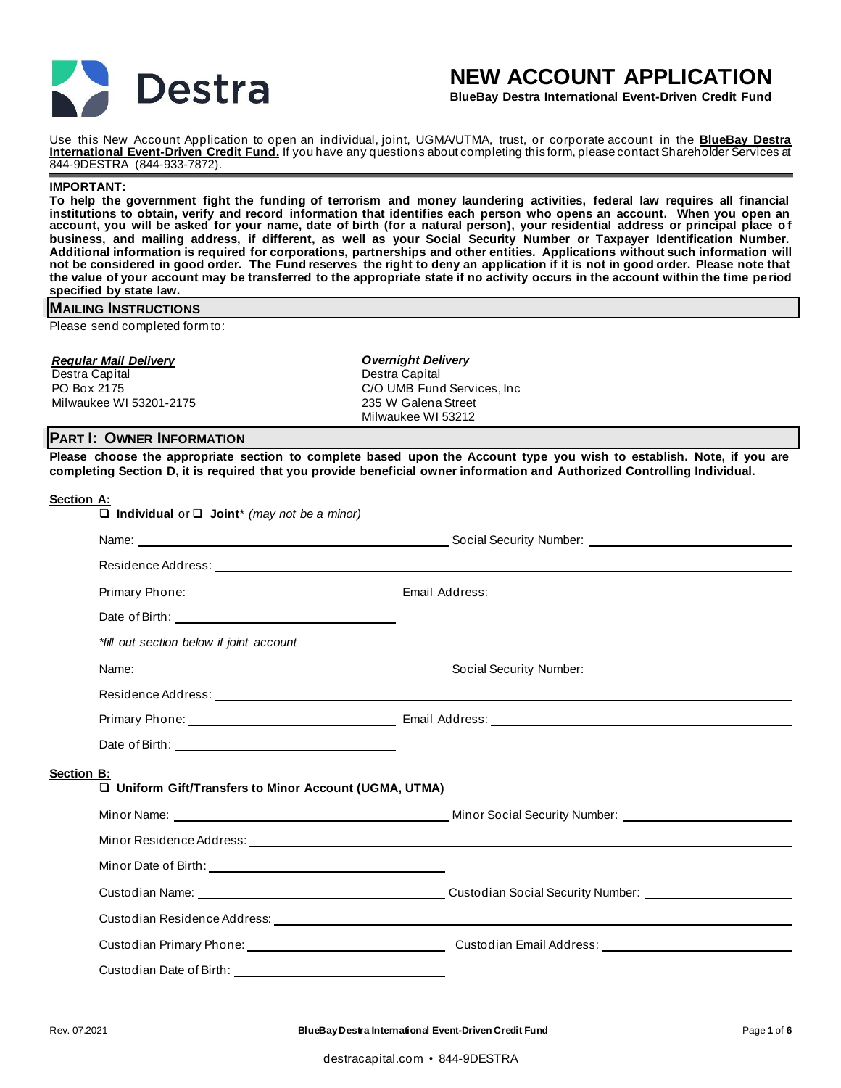

# **NEW ACCOUNT APPLICATION**

**BlueBay Destra International Event-Driven Credit Fund**

Use this New Account Application to open an individual, joint, UGMA/UTMA, trust, or corporate account in the **BlueBay Destra International Event-Driven Credit Fund.** If you have any questions about completing this form, please contact Shareholder Services at 844-9DESTRA (844-933-7872).

#### **IMPORTANT:**

**To help the government fight the funding of terrorism and money laundering activities, federal law requires all financial institutions to obtain, verify and record information that identifies each person who opens an account. When you open an account, you will be asked for your name, date of birth (for a natural person), your residential address or principal place o f business, and mailing address, if different, as well as your Social Security Number or Taxpayer Identification Number. Additional information is required for corporations, partnerships and other entities. Applications without such information will not be considered in good order. The Fund reserves the right to deny an application if it is not in good order. Please note that the value of your account may be transferred to the appropriate state if no activity occurs in the account within the time period specified by state law.**

# **MAILING INSTRUCTIONS**

Please send completed form to:

#### *Regular Mail Delivery*

Destra Capital PO Box 2175 Milwaukee WI 53201-2175 *Overnight Delivery* Destra Capital C/O UMB Fund Services, Inc 235 W Galena Street Milwaukee WI 53212

# **PART I: OWNER INFORMATION**

**Please choose the appropriate section to complete based upon the Account type you wish to establish. Note, if you are completing Section D, it is required that you provide beneficial owner information and Authorized Controlling Individual.** 

#### **Section A:**

|            | $\Box$ Individual or $\Box$ Joint* (may not be a minor) |  |
|------------|---------------------------------------------------------|--|
|            |                                                         |  |
|            |                                                         |  |
|            |                                                         |  |
|            |                                                         |  |
|            | *fill out section below if joint account                |  |
|            |                                                         |  |
|            |                                                         |  |
|            |                                                         |  |
|            |                                                         |  |
| Section B: | □ Uniform Gift/Transfers to Minor Account (UGMA, UTMA)  |  |
|            |                                                         |  |
|            |                                                         |  |
|            |                                                         |  |
|            |                                                         |  |
|            |                                                         |  |
|            |                                                         |  |
|            | Custodian Date of Birth:                                |  |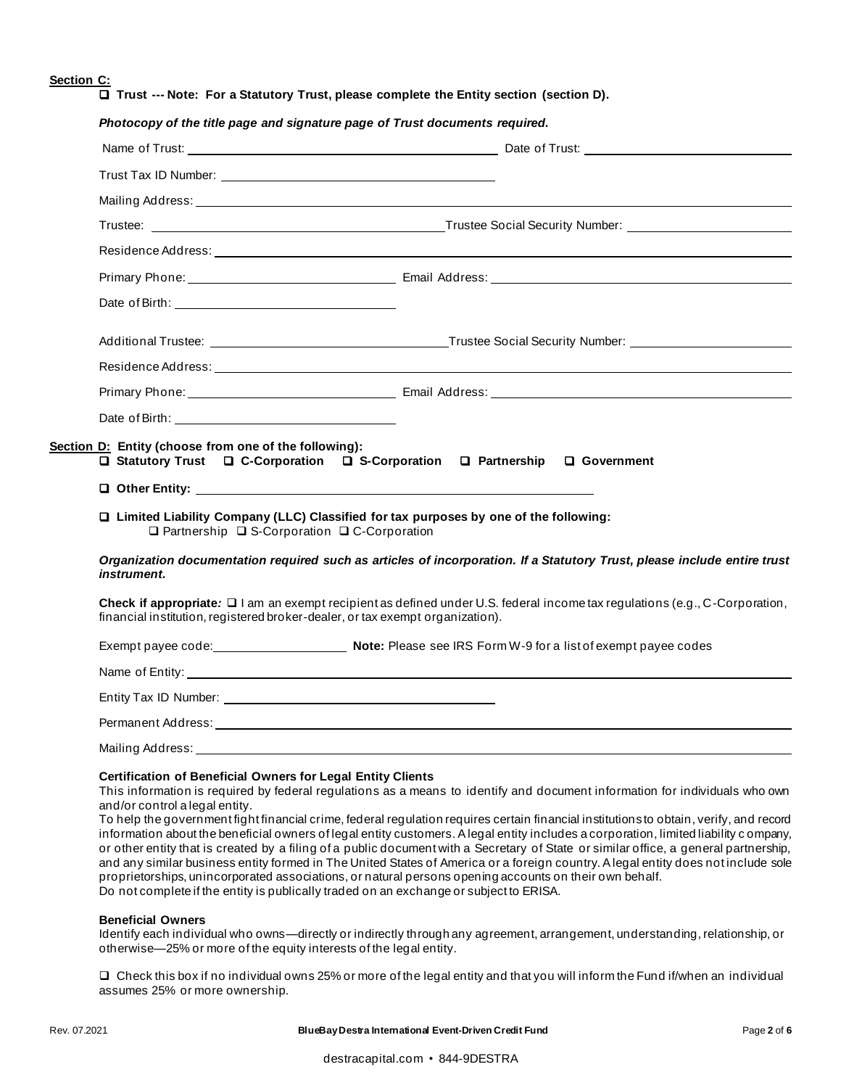# **Section C:**

❑ **Trust --- Note: For a Statutory Trust, please complete the Entity section (section D).** 

|                                                                                                                                                                                                                                | Trustee: Trustee: Trustee Social Security Number: Charles Social Security Number: Charles Social Security Number: Charles Social Security Number: Charles Social Security Number: Charles Social Security Number: Charles Soci                                                                                                                                                                                                                                                                   |
|--------------------------------------------------------------------------------------------------------------------------------------------------------------------------------------------------------------------------------|--------------------------------------------------------------------------------------------------------------------------------------------------------------------------------------------------------------------------------------------------------------------------------------------------------------------------------------------------------------------------------------------------------------------------------------------------------------------------------------------------|
|                                                                                                                                                                                                                                |                                                                                                                                                                                                                                                                                                                                                                                                                                                                                                  |
|                                                                                                                                                                                                                                |                                                                                                                                                                                                                                                                                                                                                                                                                                                                                                  |
|                                                                                                                                                                                                                                |                                                                                                                                                                                                                                                                                                                                                                                                                                                                                                  |
|                                                                                                                                                                                                                                |                                                                                                                                                                                                                                                                                                                                                                                                                                                                                                  |
|                                                                                                                                                                                                                                |                                                                                                                                                                                                                                                                                                                                                                                                                                                                                                  |
|                                                                                                                                                                                                                                |                                                                                                                                                                                                                                                                                                                                                                                                                                                                                                  |
| Date of Birth: Note of Birth:                                                                                                                                                                                                  |                                                                                                                                                                                                                                                                                                                                                                                                                                                                                                  |
| Section D: Entity (choose from one of the following):                                                                                                                                                                          | □ Statutory Trust □ C-Corporation □ S-Corporation □ Partnership □ Government                                                                                                                                                                                                                                                                                                                                                                                                                     |
| O Other Entity: New York Contract Department of the United States of the United States of the United States of the United States of the United States of the United States of the United States of the United States of the Un |                                                                                                                                                                                                                                                                                                                                                                                                                                                                                                  |
| $\Box$ Partnership $\Box$ S-Corporation $\Box$ C-Corporation                                                                                                                                                                   | □ Limited Liability Company (LLC) Classified for tax purposes by one of the following:                                                                                                                                                                                                                                                                                                                                                                                                           |
| instrument.                                                                                                                                                                                                                    |                                                                                                                                                                                                                                                                                                                                                                                                                                                                                                  |
| financial institution, registered broker-dealer, or tax exempt organization).                                                                                                                                                  |                                                                                                                                                                                                                                                                                                                                                                                                                                                                                                  |
|                                                                                                                                                                                                                                | Exempt payee code: Note: Please see IRS Form W-9 for a list of exempt payee codes                                                                                                                                                                                                                                                                                                                                                                                                                |
|                                                                                                                                                                                                                                |                                                                                                                                                                                                                                                                                                                                                                                                                                                                                                  |
|                                                                                                                                                                                                                                |                                                                                                                                                                                                                                                                                                                                                                                                                                                                                                  |
|                                                                                                                                                                                                                                | Organization documentation required such as articles of incorporation. If a Statutory Trust, please include entire trust<br>Check if appropriate: $\square$ I am an exempt recipient as defined under U.S. federal income tax regulations (e.g., C-Corporation,<br>Permanent Address: University of the Contract of the Contract of the Contract of the Contract of the Contract of the Contract of the Contract of the Contract of the Contract of the Contract of the Contract of the Contract |

This information is required by federal regulations as a means to identify and document information for individuals who own and/or control a legal entity.

To help the government fight financial crime, federal regulation requires certain financial institutions to obtain, verify, and record information about the beneficial owners of legal entity customers. A legal entity includes a corporation, limited liability c ompany, or other entity that is created by a filing of a public document with a Secretary of State or similar office, a general partnership, and any similar business entity formed in The United States of America or a foreign country. A legal entity does not include sole proprietorships, unincorporated associations, or natural persons opening accounts on their own behalf. Do not complete if the entity is publically traded on an exchange or subject to ERISA.

#### **Beneficial Owners**

Identify each individual who owns—directly or indirectly through any agreement, arrangement, understanding, relationship, or otherwise—25% or more of the equity interests of the legal entity.

❑ Check this box if no individual owns 25% or more of the legal entity and that you will inform the Fund if/when an individual assumes 25% or more ownership.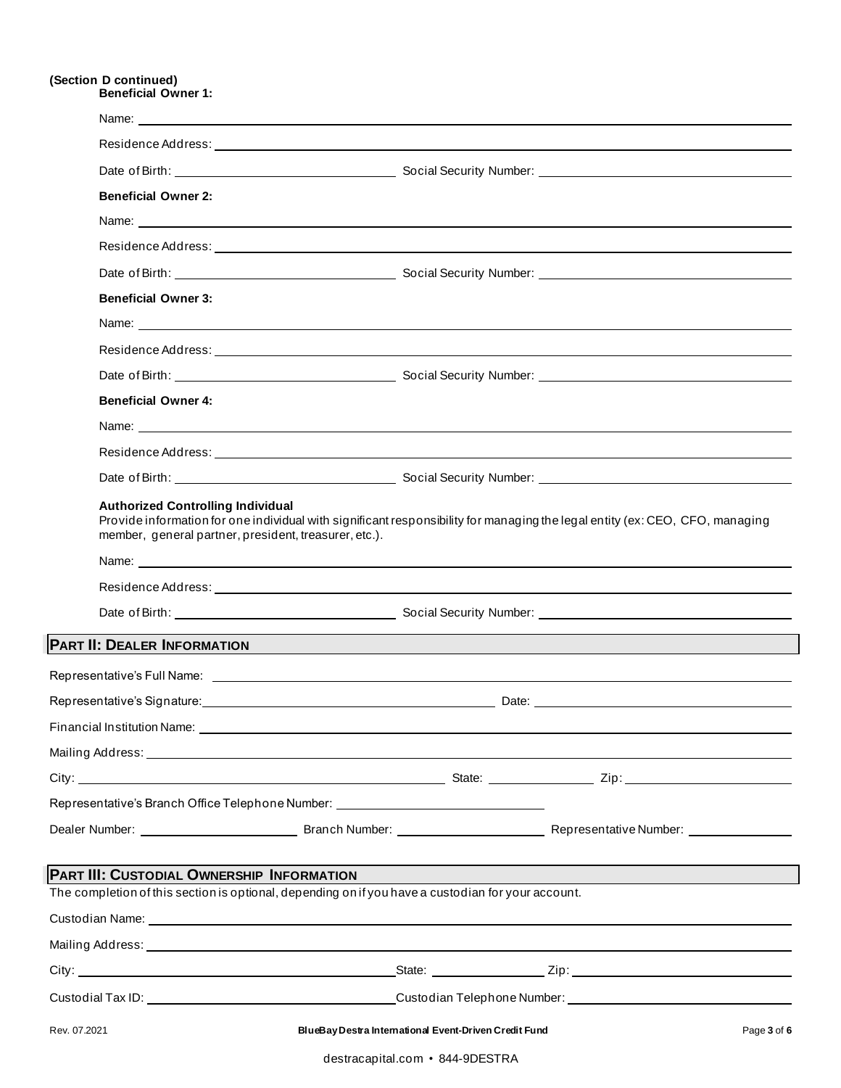### **(Section D continued) Beneficial Owner 1:**

| <b>Beneficial Owner 2:</b>                |                                                                                                                                                                                                                                      |             |
|-------------------------------------------|--------------------------------------------------------------------------------------------------------------------------------------------------------------------------------------------------------------------------------------|-------------|
|                                           |                                                                                                                                                                                                                                      |             |
|                                           |                                                                                                                                                                                                                                      |             |
|                                           |                                                                                                                                                                                                                                      |             |
| <b>Beneficial Owner 3:</b>                |                                                                                                                                                                                                                                      |             |
|                                           |                                                                                                                                                                                                                                      |             |
|                                           |                                                                                                                                                                                                                                      |             |
|                                           |                                                                                                                                                                                                                                      |             |
| <b>Beneficial Owner 4:</b>                |                                                                                                                                                                                                                                      |             |
|                                           |                                                                                                                                                                                                                                      |             |
|                                           |                                                                                                                                                                                                                                      |             |
|                                           |                                                                                                                                                                                                                                      |             |
|                                           |                                                                                                                                                                                                                                      |             |
|                                           |                                                                                                                                                                                                                                      |             |
|                                           | PART II: DEALER INFORMATION                                                                                                                                                                                                          |             |
|                                           | Representative's Full Name: Law and the second state of the second state of the second state of the second state of the second state of the second state of the second state of the second state of the second state of the se       |             |
|                                           |                                                                                                                                                                                                                                      |             |
|                                           | Financial Institution Name: <u>example and a series of the series of the series of the series of the series of the series of the series of the series of the series of the series of the series of the series of the series of t</u> |             |
|                                           |                                                                                                                                                                                                                                      |             |
|                                           |                                                                                                                                                                                                                                      |             |
|                                           | Representative's Branch Office Telephone Number: _______________________________                                                                                                                                                     |             |
|                                           |                                                                                                                                                                                                                                      |             |
| PART III: CUSTODIAL OWNERSHIP INFORMATION |                                                                                                                                                                                                                                      |             |
|                                           | The completion of this section is optional, depending on if you have a custodian for your account.                                                                                                                                   |             |
|                                           |                                                                                                                                                                                                                                      |             |
|                                           |                                                                                                                                                                                                                                      |             |
|                                           | City: 2008. External contract of the State: 2008. State: 219: 21p:                                                                                                                                                                   |             |
|                                           |                                                                                                                                                                                                                                      |             |
| Rev. 07.2021                              | BlueBay Destra International Event-Driven Credit Fund                                                                                                                                                                                | Page 3 of 6 |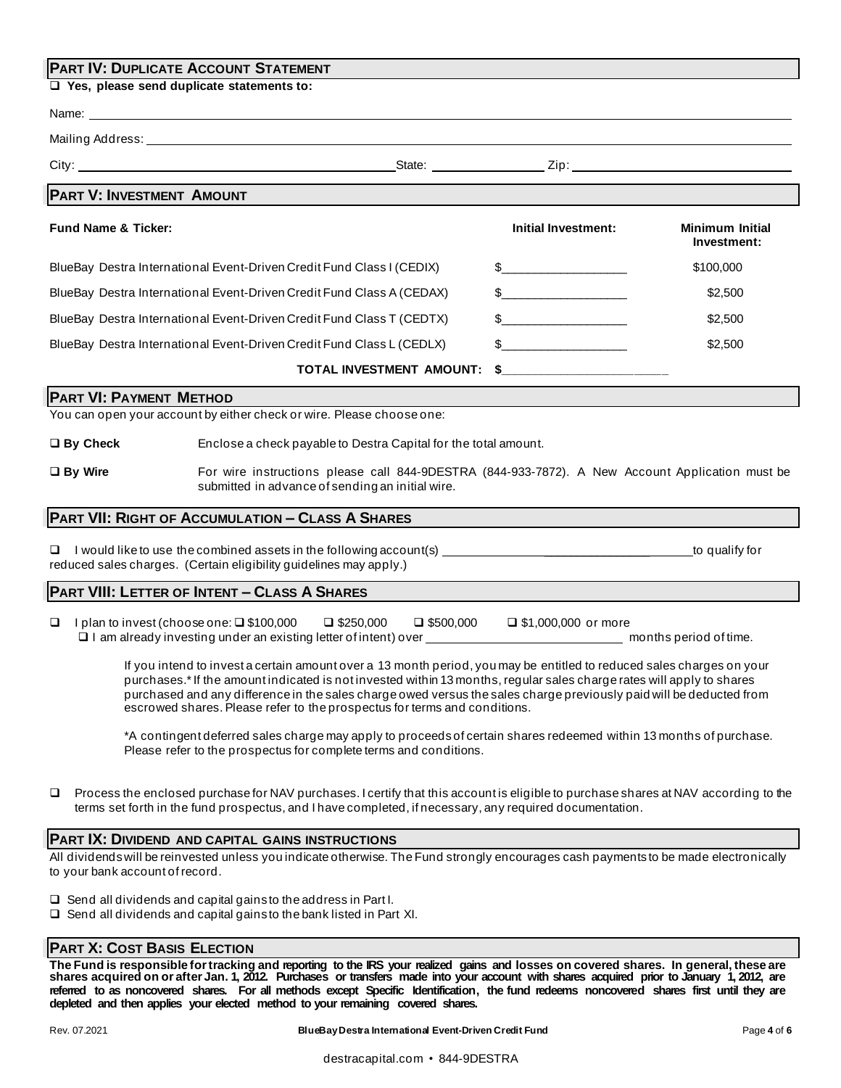# **PART IV: DUPLICATE ACCOUNT STATEMENT**

❑ **Yes, please send duplicate statements to:**

| Mailing Address: Universe and Secretary Address and Secretary Address and Secretary Address and Secretary Address and Secretary Address and Secretary Address and Secretary Address and Secretary Address and Secretary Addres                                                                                                                                                                                                                    |                                      |                       |                                       |  |
|---------------------------------------------------------------------------------------------------------------------------------------------------------------------------------------------------------------------------------------------------------------------------------------------------------------------------------------------------------------------------------------------------------------------------------------------------|--------------------------------------|-----------------------|---------------------------------------|--|
| City: 2010 2012 2013 2014 2015 2016 2017 2018 2019 2014 2015 2016 2017 2018 2019 2014 2016 2017 2018 2019 201                                                                                                                                                                                                                                                                                                                                     |                                      |                       |                                       |  |
| <b>PART V: INVESTMENT AMOUNT</b>                                                                                                                                                                                                                                                                                                                                                                                                                  |                                      |                       |                                       |  |
| <b>Fund Name &amp; Ticker:</b>                                                                                                                                                                                                                                                                                                                                                                                                                    |                                      | Initial Investment:   | <b>Minimum Initial</b><br>Investment: |  |
| BlueBay Destra International Event-Driven Credit Fund Class I (CEDIX)                                                                                                                                                                                                                                                                                                                                                                             |                                      | $\sim$                | \$100,000                             |  |
| BlueBay Destra International Event-Driven Credit Fund Class A (CEDAX)                                                                                                                                                                                                                                                                                                                                                                             |                                      |                       | \$2,500                               |  |
| BlueBay Destra International Event-Driven Credit Fund Class T (CEDTX)                                                                                                                                                                                                                                                                                                                                                                             |                                      | $\sim$                | \$2,500                               |  |
| BlueBay Destra International Event-Driven Credit Fund Class L (CEDLX)                                                                                                                                                                                                                                                                                                                                                                             |                                      | $\sim$                | \$2,500                               |  |
|                                                                                                                                                                                                                                                                                                                                                                                                                                                   | <b>TOTAL INVESTMENT AMOUNT:</b>      |                       |                                       |  |
| <b>PART VI: PAYMENT METHOD</b>                                                                                                                                                                                                                                                                                                                                                                                                                    |                                      |                       |                                       |  |
| You can open your account by either check or wire. Please choose one:                                                                                                                                                                                                                                                                                                                                                                             |                                      |                       |                                       |  |
| $\square$ By Check<br>Enclose a check payable to Destra Capital for the total amount.                                                                                                                                                                                                                                                                                                                                                             |                                      |                       |                                       |  |
| $\Box$ By Wire<br>For wire instructions please call 844-9DESTRA (844-933-7872). A New Account Application must be<br>submitted in advance of sending an initial wire.                                                                                                                                                                                                                                                                             |                                      |                       |                                       |  |
| <b>PART VII: RIGHT OF ACCUMULATION - CLASS A SHARES</b>                                                                                                                                                                                                                                                                                                                                                                                           |                                      |                       |                                       |  |
| □<br>reduced sales charges. (Certain eligibility guidelines may apply.)                                                                                                                                                                                                                                                                                                                                                                           |                                      |                       |                                       |  |
| PART VIII: LETTER OF INTENT - CLASS A SHARES                                                                                                                                                                                                                                                                                                                                                                                                      |                                      |                       |                                       |  |
| I plan to invest (choose one: $\square$ \$100,000<br>❏                                                                                                                                                                                                                                                                                                                                                                                            | $\Box$ \$250,000<br>$\Box$ \$500,000 | □ \$1,000,000 or more |                                       |  |
| If you intend to invest a certain amount over a 13 month period, you may be entitled to reduced sales charges on your<br>purchases.*If the amount indicated is not invested within 13 months, regular sales charge rates will apply to shares<br>purchased and any difference in the sales charge owed versus the sales charge previously paid will be deducted from<br>escrowed shares. Please refer to the prospectus for terms and conditions. |                                      |                       |                                       |  |
| *A contingent deferred sales charge may apply to proceeds of certain shares redeemed within 13 months of purchase.<br>Please refer to the prospectus for complete terms and conditions.                                                                                                                                                                                                                                                           |                                      |                       |                                       |  |
| Process the enclosed purchase for NAV purchases. I certify that this account is eligible to purchase shares at NAV according to the<br>□<br>terms set forth in the fund prospectus, and I have completed, if necessary, any required documentation.                                                                                                                                                                                               |                                      |                       |                                       |  |
| PART IX: DIVIDEND AND CAPITAL GAINS INSTRUCTIONS                                                                                                                                                                                                                                                                                                                                                                                                  |                                      |                       |                                       |  |
| All dividends will be reinvested unless you indicate otherwise. The Fund strongly encourages cash payments to be made electronically<br>to your bank account of record.                                                                                                                                                                                                                                                                           |                                      |                       |                                       |  |
| $\Box$ Send all dividends and capital gains to the address in Part I.<br>$\Box$ Send all dividends and capital gains to the bank listed in Part XI.                                                                                                                                                                                                                                                                                               |                                      |                       |                                       |  |

# **PART X: COST BASIS ELECTION**

**The Fund is responsible for tracking and reporting to the IRS your realized gains and losses on covered shares. In general, these are shares acquired on or after Jan. 1, 2012. Purchases or transfers made into your account with shares acquired prior to January 1, 2012, are**  referred to as noncovered shares. For all methods except Specific Identification, the fund redeems noncovered shares first until they are **depleted and then applies your elected method to your remaining covered shares.**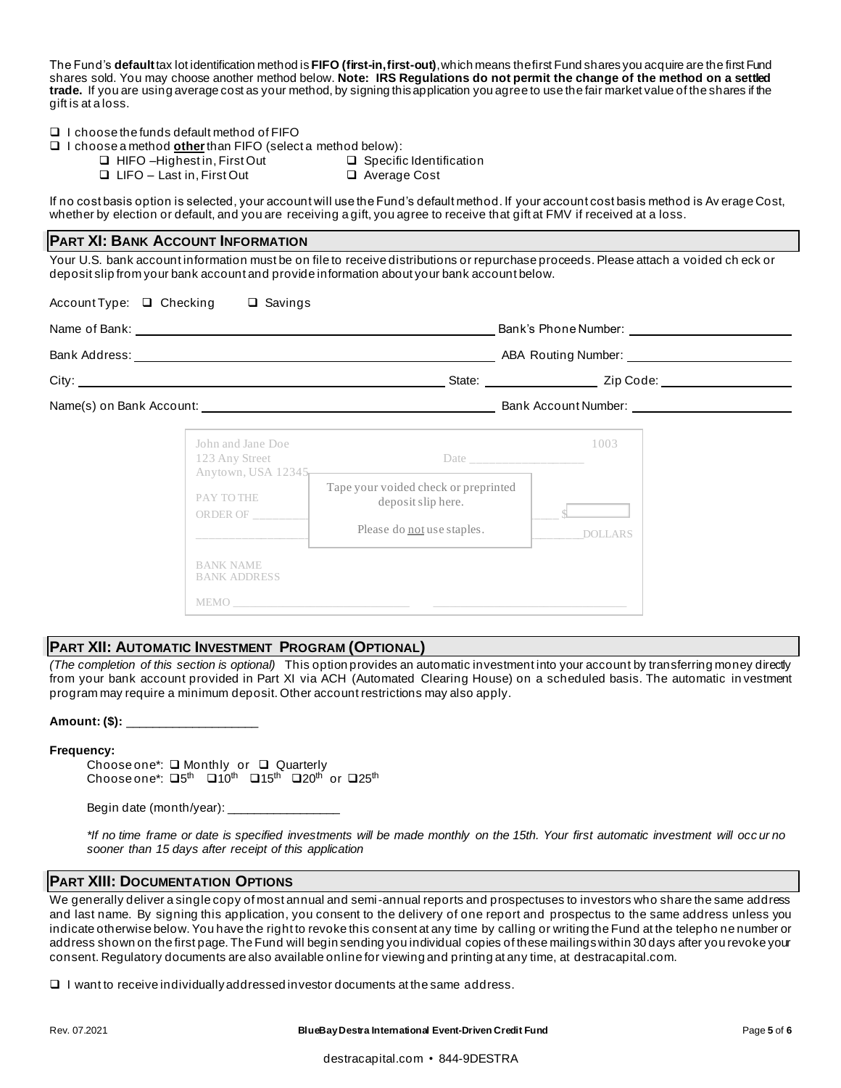The Fund's **default**tax lot identification method is **FIFO (first-in, first-out)**, which means the first Fund shares you acquire are the first Fund shares sold. You may choose another method below. **Note: IRS Regulations do not permit the change of the method on a settled trade.** If you are using average cost as your method, by signing this application you agree to use the fair market value of the shares if the gift is at a loss.

❑ I choose the funds default method of FIFO

- ❑ I choose a method **other**than FIFO (select a method below):
	- ❑ HIFO –Highest in, First Out ❑ Specific Identification
	- ❑ LIFO Last in, First Out ❑ Average Cost
- 

If no cost basis option is selected, your account will use the Fund's default method. If your account cost basis method is Av erage Cost, whether by election or default, and you are receiving a gift, you agree to receive that gift at FMV if received at a loss.

## **PART XI: BANK ACCOUNT INFORMATION**

Your U.S. bank account information must be on file to receive distributions or repurchase proceeds. Please attach a voided ch eck or deposit slip from your bank account and provide information about your bank account below.

Account Type: ❑ Checking ❑ Savings

|                                                               |                                                                                                                                                                                                                                |                        | State: <u>Zip Code:</u> Zip Code: |
|---------------------------------------------------------------|--------------------------------------------------------------------------------------------------------------------------------------------------------------------------------------------------------------------------------|------------------------|-----------------------------------|
|                                                               |                                                                                                                                                                                                                                |                        |                                   |
| John and Jane Doe<br>123 Any Street<br>PAY TO THE<br>ORDER OF | Anytown, USA 12345<br>Tape your voided check or preprinted<br>deposit slip here.<br>Please do not use staples.                                                                                                                 | 1003<br><b>DOLLARS</b> |                                   |
| <b>BANK NAME</b><br><b>BANK ADDRESS</b>                       | MEMO LA CONSTITUCIÓN DE LA CONSTITUCIÓN DE LA CONSTITUCIÓN DE LA CONSTITUCIÓN DE LA CONSTITUCIÓN DE LA CONSTITUCIÓN DE LA CONSTITUCIÓN DE LA CONSTITUCIÓN DE LA CONSTITUCIÓN DE LA CONSTITUCIÓN DE LA CONSTITUCIÓN DE LA CONST |                        |                                   |

# **PART XII: AUTOMATIC INVESTMENT PROGRAM (OPTIONAL)**

*(The completion of this section is optional)* This option provides an automatic investment into your account by transferring money directly from your bank account provided in Part XI via ACH (Automated Clearing House) on a scheduled basis. The automatic in vestment program may require a minimum deposit. Other account restrictions may also apply.

#### **Amount: (\$):** \_\_\_\_\_\_\_\_\_\_\_\_\_\_\_\_\_\_\_\_

#### **Frequency:**

Choose one\*: ❑ Monthly or ❑ Quarterly Choose one\*:  $\Box 5^{\text{th}}$   $\Box 10^{\text{th}}$   $\Box 15^{\text{th}}$   $\Box 20^{\text{th}}$  or  $\Box 25^{\text{th}}$ 

Begin date (month/year):  $\_$ 

*\*If no time frame or date is specified investments will be made monthly on the 15th. Your first automatic investment will occ ur no sooner than 15 days after receipt of this application*

# **PART XIII: DOCUMENTATION OPTIONS**

We generally deliver a single copy of most annual and semi-annual reports and prospectuses to investors who share the same address and last name. By signing this application, you consent to the delivery of one report and prospectus to the same address unless you indicate otherwise below. You have the right to revoke this consent at any time by calling or writing the Fund at the telepho ne number or address shown on the first page. The Fund will begin sending you individual copies of these mailings within 30 days after you revoke your consent. Regulatory documents are also available online for viewing and printing at any time, at destracapital.com.

 $\Box$  I want to receive individually addressed investor documents at the same address.